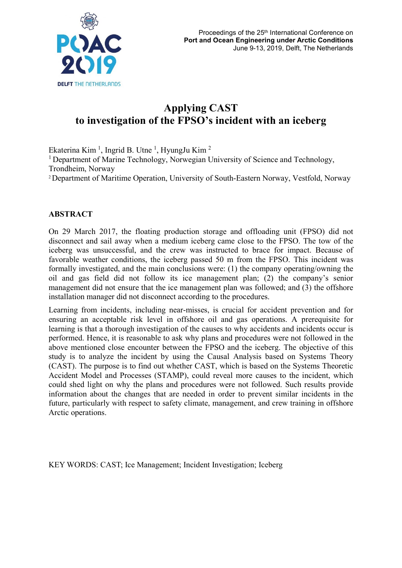

# **Applying CAST to investigation of the FPSO's incident with an iceberg**

Ekaterina Kim<sup>1</sup>, Ingrid B. Utne<sup>1</sup>, HyungJu Kim<sup>2</sup> <sup>1</sup> Department of Marine Technology, Norwegian University of Science and Technology, Trondheim, Norway 2 Department of Maritime Operation, University of South-Eastern Norway, Vestfold, Norway

#### **ABSTRACT**

On 29 March 2017, the floating production storage and offloading unit (FPSO) did not disconnect and sail away when a medium iceberg came close to the FPSO. The tow of the iceberg was unsuccessful, and the crew was instructed to brace for impact. Because of favorable weather conditions, the iceberg passed 50 m from the FPSO. This incident was formally investigated, and the main conclusions were: (1) the company operating/owning the oil and gas field did not follow its ice management plan; (2) the company's senior management did not ensure that the ice management plan was followed; and (3) the offshore installation manager did not disconnect according to the procedures.

Learning from incidents, including near-misses, is crucial for accident prevention and for ensuring an acceptable risk level in offshore oil and gas operations. A prerequisite for learning is that a thorough investigation of the causes to why accidents and incidents occur is performed. Hence, it is reasonable to ask why plans and procedures were not followed in the above mentioned close encounter between the FPSO and the iceberg. The objective of this study is to analyze the incident by using the Causal Analysis based on Systems Theory (CAST). The purpose is to find out whether CAST, which is based on the Systems Theoretic Accident Model and Processes (STAMP), could reveal more causes to the incident, which could shed light on why the plans and procedures were not followed. Such results provide information about the changes that are needed in order to prevent similar incidents in the future, particularly with respect to safety climate, management, and crew training in offshore Arctic operations.

KEY WORDS: CAST; Ice Management; Incident Investigation; Iceberg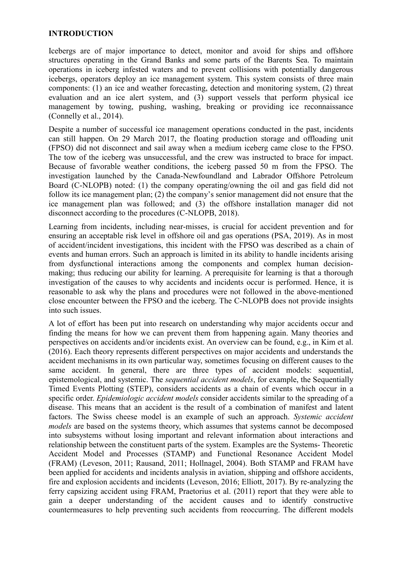#### **INTRODUCTION**

Icebergs are of major importance to detect, monitor and avoid for ships and offshore structures operating in the Grand Banks and some parts of the Barents Sea. To maintain operations in iceberg infested waters and to prevent collisions with potentially dangerous icebergs, operators deploy an ice management system. This system consists of three main components: (1) an ice and weather forecasting, detection and monitoring system, (2) threat evaluation and an ice alert system, and (3) support vessels that perform physical ice management by towing, pushing, washing, breaking or providing ice reconnaissance (Connelly et al., 2014).

Despite a number of successful ice management operations conducted in the past, incidents can still happen. On 29 March 2017, the floating production storage and offloading unit (FPSO) did not disconnect and sail away when a medium iceberg came close to the FPSO. The tow of the iceberg was unsuccessful, and the crew was instructed to brace for impact. Because of favorable weather conditions, the iceberg passed 50 m from the FPSO. The investigation launched by the Canada-Newfoundland and Labrador Offshore Petroleum Board (C-NLOPB) noted: (1) the company operating/owning the oil and gas field did not follow its ice management plan; (2) the company's senior management did not ensure that the ice management plan was followed; and (3) the offshore installation manager did not disconnect according to the procedures (C-NLOPB, 2018).

Learning from incidents, including near-misses, is crucial for accident prevention and for ensuring an acceptable risk level in offshore oil and gas operations (PSA, 2019). As in most of accident/incident investigations, this incident with the FPSO was described as a chain of events and human errors. Such an approach is limited in its ability to handle incidents arising from dysfunctional interactions among the components and complex human decisionmaking; thus reducing our ability for learning. A prerequisite for learning is that a thorough investigation of the causes to why accidents and incidents occur is performed. Hence, it is reasonable to ask why the plans and procedures were not followed in the above-mentioned close encounter between the FPSO and the iceberg. The C-NLOPB does not provide insights into such issues.

A lot of effort has been put into research on understanding why major accidents occur and finding the means for how we can prevent them from happening again. Many theories and perspectives on accidents and/or incidents exist. An overview can be found, e.g., in Kim et al. (2016). Each theory represents different perspectives on major accidents and understands the accident mechanisms in its own particular way, sometimes focusing on different causes to the same accident. In general, there are three types of accident models: sequential, epistemological, and systemic. The *sequential accident models*, for example, the Sequentially Timed Events Plotting (STEP), considers accidents as a chain of events which occur in a specific order. *Epidemiologic accident models* consider accidents similar to the spreading of a disease. This means that an accident is the result of a combination of manifest and latent factors. The Swiss cheese model is an example of such an approach. *Systemic accident models* are based on the systems theory, which assumes that systems cannot be decomposed into subsystems without losing important and relevant information about interactions and relationship between the constituent parts of the system. Examples are the Systems- Theoretic Accident Model and Processes (STAMP) and Functional Resonance Accident Model (FRAM) (Leveson, 2011; Rausand, 2011; Hollnagel, 2004). Both STAMP and FRAM have been applied for accidents and incidents analysis in aviation, shipping and offshore accidents, fire and explosion accidents and incidents (Leveson, 2016; Elliott, 2017). By re-analyzing the ferry capsizing accident using FRAM, Praetorius et al. (2011) report that they were able to gain a deeper understanding of the accident causes and to identify constructive countermeasures to help preventing such accidents from reoccurring. The different models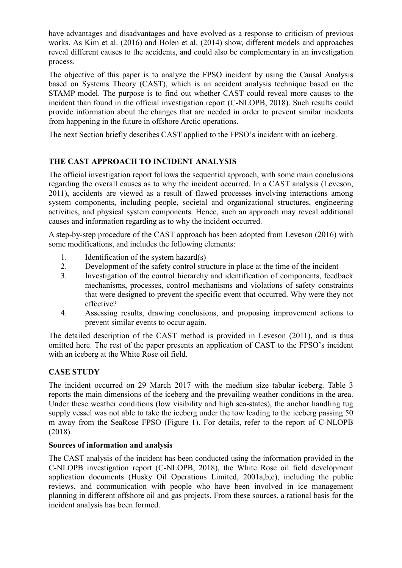have advantages and disadvantages and have evolved as a response to criticism of previous works. As Kim et al. (2016) and Holen et al. (2014) show, different models and approaches reveal different causes to the accidents, and could also be complementary in an investigation process.

The objective of this paper is to analyze the FPSO incident by using the Causal Analysis based on Systems Theory (CAST), which is an accident analysis technique based on the STAMP model. The purpose is to find out whether CAST could reveal more causes to the incident than found in the official investigation report (C-NLOPB, 2018). Such results could provide information about the changes that are needed in order to prevent similar incidents from happening in the future in offshore Arctic operations.

The next Section briefly describes CAST applied to the FPSO's incident with an iceberg.

# **THE CAST APPROACH TO INCIDENT ANALYSIS**

The official investigation report follows the sequential approach, with some main conclusions regarding the overall causes as to why the incident occurred. In a CAST analysis (Leveson, 2011), accidents are viewed as a result of flawed processes involving interactions among system components, including people, societal and organizational structures, engineering activities, and physical system components. Hence, such an approach may reveal additional causes and information regarding as to why the incident occurred.

A step-by-step procedure of the CAST approach has been adopted from Leveson (2016) with some modifications, and includes the following elements:

- 1. Identification of the system hazard $(s)$
- 2. Development of the safety control structure in place at the time of the incident
- 3. Investigation of the control hierarchy and identification of components, feedback mechanisms, processes, control mechanisms and violations of safety constraints that were designed to prevent the specific event that occurred. Why were they not effective?
- 4. Assessing results, drawing conclusions, and proposing improvement actions to prevent similar events to occur again.

The detailed description of the CAST method is provided in Leveson (2011), and is thus omitted here. The rest of the paper presents an application of CAST to the FPSO's incident with an iceberg at the White Rose oil field.

# **CASE STUDY**

The incident occurred on 29 March 2017 with the medium size tabular iceberg. Table 3 reports the main dimensions of the iceberg and the prevailing weather conditions in the area. Under these weather conditions (low visibility and high sea-states), the anchor handling tug supply vessel was not able to take the iceberg under the tow leading to the iceberg passing 50 m away from the SeaRose FPSO (Figure 1). For details, refer to the report of C-NLOPB (2018).

## **Sources of information and analysis**

The CAST analysis of the incident has been conducted using the information provided in the C-NLOPB investigation report (C-NLOPB, 2018), the White Rose oil field development application documents (Husky Oil Operations Limited, 2001a,b,c), including the public reviews, and communication with people who have been involved in ice management planning in different offshore oil and gas projects. From these sources, a rational basis for the incident analysis has been formed.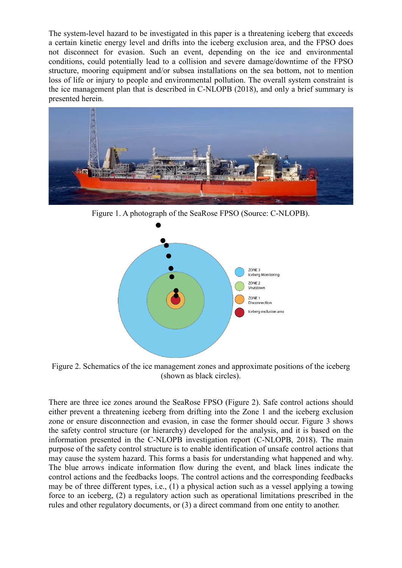The system-level hazard to be investigated in this paper is a threatening iceberg that exceeds a certain kinetic energy level and drifts into the iceberg exclusion area, and the FPSO does not disconnect for evasion. Such an event, depending on the ice and environmental conditions, could potentially lead to a collision and severe damage/downtime of the FPSO structure, mooring equipment and/or subsea installations on the sea bottom, not to mention loss of life or injury to people and environmental pollution. The overall system constraint is the ice management plan that is described in C-NLOPB (2018), and only a brief summary is presented herein.



Figure 1. A photograph of the SeaRose FPSO (Source: C-NLOPB).



Figure 2. Schematics of the ice management zones and approximate positions of the iceberg (shown as black circles).

There are three ice zones around the SeaRose FPSO (Figure 2). Safe control actions should either prevent a threatening iceberg from drifting into the Zone 1 and the iceberg exclusion zone or ensure disconnection and evasion, in case the former should occur. Figure 3 shows the safety control structure (or hierarchy) developed for the analysis, and it is based on the information presented in the C-NLOPB investigation report (C-NLOPB, 2018). The main purpose of the safety control structure is to enable identification of unsafe control actions that may cause the system hazard. This forms a basis for understanding what happened and why. The blue arrows indicate information flow during the event, and black lines indicate the control actions and the feedbacks loops. The control actions and the corresponding feedbacks may be of three different types, i.e., (1) a physical action such as a vessel applying a towing force to an iceberg, (2) a regulatory action such as operational limitations prescribed in the rules and other regulatory documents, or (3) a direct command from one entity to another.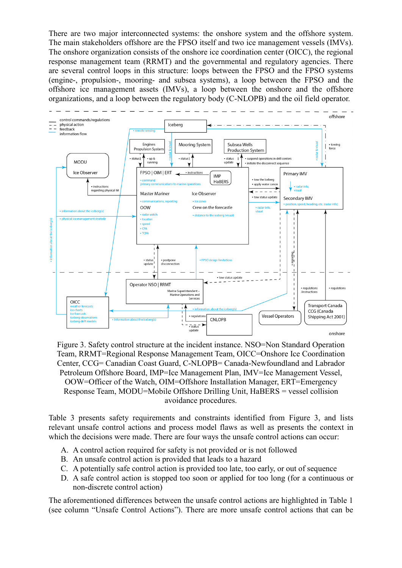There are two major interconnected systems: the onshore system and the offshore system. The main stakeholders offshore are the FPSO itself and two ice management vessels (IMVs). The onshore organization consists of the onshore ice coordination center (OICC), the regional response management team (RRMT) and the governmental and regulatory agencies. There are several control loops in this structure: loops between the FPSO and the FPSO systems (engine-, propulsion-, mooring- and subsea systems), a loop between the FPSO and the offshore ice management assets (IMVs), a loop between the onshore and the offshore organizations, and a loop between the regulatory body (C-NLOPB) and the oil field operator.



Figure 3. Safety control structure at the incident instance. NSO=Non Standard Operation Team, RRMT=Regional Response Management Team, OICC=Onshore Ice Coordination Center, CCG= Canadian Coast Guard, C-NLOPB= Canada-Newfoundland and Labrador Petroleum Offshore Board, IMP=Ice Management Plan, IMV=Ice Management Vessel, OOW=Officer of the Watch, OIM=Offshore Installation Manager, ERT=Emergency Response Team, MODU=Mobile Offshore Drilling Unit, HaBERS = vessel collision avoidance procedures.

Table 3 presents safety requirements and constraints identified from Figure 3, and lists relevant unsafe control actions and process model flaws as well as presents the context in which the decisions were made. There are four ways the unsafe control actions can occur:

- A. A control action required for safety is not provided or is not followed
- B. An unsafe control action is provided that leads to a hazard
- C. A potentially safe control action is provided too late, too early, or out of sequence
- D. A safe control action is stopped too soon or applied for too long (for a continuous or non-discrete control action)

The aforementioned differences between the unsafe control actions are highlighted in Table 1 (see column "Unsafe Control Actions"). There are more unsafe control actions that can be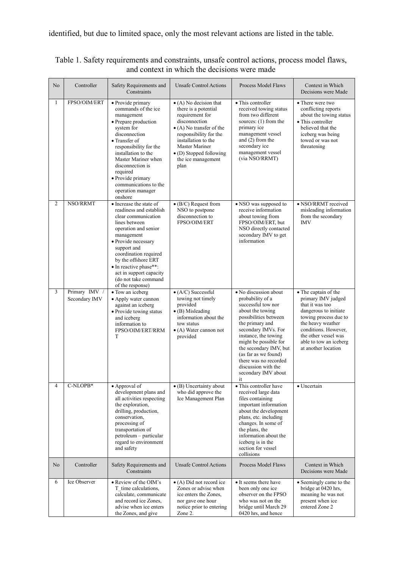| No             | Controller                     | Safety Requirements and<br>Constraints                                                                                                                                                                                                                                                                                  | <b>Unsafe Control Actions</b>                                                                                                                                                                                                                                      | Process Model Flaws                                                                                                                                                                                                                                                                                                                    | Context in Which<br>Decisions were Made                                                                                                                                                                                               |
|----------------|--------------------------------|-------------------------------------------------------------------------------------------------------------------------------------------------------------------------------------------------------------------------------------------------------------------------------------------------------------------------|--------------------------------------------------------------------------------------------------------------------------------------------------------------------------------------------------------------------------------------------------------------------|----------------------------------------------------------------------------------------------------------------------------------------------------------------------------------------------------------------------------------------------------------------------------------------------------------------------------------------|---------------------------------------------------------------------------------------------------------------------------------------------------------------------------------------------------------------------------------------|
| $\mathbf{1}$   | FPSO/OIM/ERT                   | · Provide primary<br>commands of the ice<br>management<br>• Prepare production<br>system for<br>disconnection<br>• Transfer of<br>responsibility for the<br>installation to the<br>Master Mariner when<br>disconnection is<br>required<br>· Provide primary<br>communications to the<br>operation manager<br>onshore    | $\bullet$ (A) No decision that<br>there is a potential<br>requirement for<br>disconnection<br>$\bullet$ (A) No transfer of the<br>responsibility for the<br>installation to the<br>Master Mariner<br>$\bullet$ (D) Stopped following<br>the ice management<br>plan | $\bullet$ This controller<br>received towing status<br>from two different<br>sources: (1) from the<br>primary ice<br>management vessel<br>and (2) from the<br>secondary ice<br>management vessel<br>(via NSO/RRMT)                                                                                                                     | • There were two<br>conflicting reports<br>about the towing status<br>• This controller<br>believed that the<br>iceberg was being<br>towed or was not<br>threatening                                                                  |
| $\overline{2}$ | NSO/RRMT                       | • Increase the state of<br>readiness and establish<br>clear communication<br>lines between<br>operation and senior<br>management<br>· Provide necessary<br>support and<br>coordination required<br>by the offshore ERT<br>· In reactive phase**:<br>act in support capacity<br>(do not take command<br>of the response) | $\bullet$ (B/C) Request from<br>NSO to postpone<br>disconnection to<br>FPSO/OIM/ERT                                                                                                                                                                                | • NSO was supposed to<br>receive information<br>about towing from<br>FPSO/OIM/ERT, but<br>NSO directly contacted<br>secondary IMV to get<br>information                                                                                                                                                                                | • NSO/RRMT received<br>misleading information<br>from the secondary<br><b>IMV</b>                                                                                                                                                     |
| 3              | Primary IMV /<br>Secondary IMV | • Tow an iceberg<br>• Apply water cannon<br>against an iceberg<br>· Provide towing status<br>and iceberg<br>information to<br>FPSO/OIM/ERT/RRM<br>T                                                                                                                                                                     | $\bullet$ (A/C) Successful<br>towing not timely<br>provided<br>$\bullet$ (B) Misleading<br>information about the<br>tow status<br>• (A) Water cannon not<br>provided                                                                                               | · No discussion about<br>probability of a<br>successful tow nor<br>about the towing<br>possibilities between<br>the primary and<br>secondary IMVs. For<br>instance, the towing<br>might be possible for<br>the secondary IMV, but<br>(as far as we found)<br>there was no recorded<br>discussion with the<br>secondary IMV about<br>it | • The captain of the<br>primary IMV judged<br>that it was too<br>dangerous to initiate<br>towing process due to<br>the heavy weather<br>conditions. However,<br>the other vessel was<br>able to tow an iceberg<br>at another location |
| 4              | C-NLOPB*                       | • Approval of<br>development plans and<br>all activities respecting<br>the exploration,<br>drilling, production,<br>conservation,<br>processing of<br>transportation of<br>petroleum - particular<br>regard to environment<br>and safety                                                                                | • (B) Uncertainty about<br>who did approve the<br>Ice Management Plan                                                                                                                                                                                              | • This controller have<br>received large data<br>files containing<br>important information<br>about the development<br>plans, etc. including<br>changes. In some of<br>the plans, the<br>information about the<br>iceberg is in the<br>section for vessel<br>collisions                                                                | • Uncertain                                                                                                                                                                                                                           |
| No             | Controller                     | Safety Requirements and<br>Constraints                                                                                                                                                                                                                                                                                  | <b>Unsafe Control Actions</b>                                                                                                                                                                                                                                      | Process Model Flaws                                                                                                                                                                                                                                                                                                                    | Context in Which<br>Decisions were Made                                                                                                                                                                                               |
| 6              | Ice Observer                   | • Review of the OIM's<br>T time calculations,<br>calculate, communicate<br>and record ice Zones,<br>advise when ice enters<br>the Zones, and give                                                                                                                                                                       | $\bullet$ (A) Did not record ice<br>Zones or advise when<br>ice enters the Zones,<br>nor gave one hour<br>notice prior to entering<br>Zone 2.                                                                                                                      | • It seems there have<br>been only one ice<br>observer on the FPSO<br>who was not on the<br>bridge until March 29<br>0420 hrs, and hence                                                                                                                                                                                               | • Seemingly came to the<br>bridge at 0420 hrs,<br>meaning he was not<br>present when ice<br>entered Zone 2                                                                                                                            |

Table 1. Safety requirements and constraints, unsafe control actions, process model flaws, and context in which the decisions were made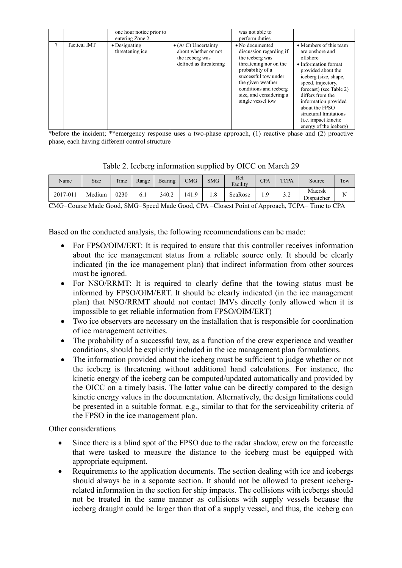|                     | one hour notice prior to<br>entering Zone 2. |                                                                                                  | was not able to<br>perform duties                                                                                                                                                                                                  |                                                                                                                                                                                                                                                                                                                                 |
|---------------------|----------------------------------------------|--------------------------------------------------------------------------------------------------|------------------------------------------------------------------------------------------------------------------------------------------------------------------------------------------------------------------------------------|---------------------------------------------------------------------------------------------------------------------------------------------------------------------------------------------------------------------------------------------------------------------------------------------------------------------------------|
| <b>Tactical IMT</b> | $\bullet$ Designating<br>threatening ice     | $\bullet$ (A/C) Uncertainty<br>about whether or not<br>the iceberg was<br>defined as threatening | • No documented<br>discussion regarding if<br>the iceberg was<br>threatening nor on the<br>probability of a<br>successful tow under<br>the given weather<br>conditions and iceberg<br>size, and considering a<br>single vessel tow | • Members of this team<br>are onshore and<br>offshore<br>• Information format<br>provided about the<br>iceberg (size, shape,<br>speed, trajectory,<br>forecast) (see Table 2)<br>differs from the<br>information provided<br>about the FPSO<br>structural limitations<br>( <i>i.e.</i> impact kinetic<br>energy of the iceberg) |

\*before the incident; \*\*emergency response uses a two-phase approach, (1) reactive phase and (2) proactive phase, each having different control structure

|  | Table 2. Iceberg information supplied by OICC on March 29 |  |  |
|--|-----------------------------------------------------------|--|--|
|  |                                                           |  |  |

| Name     | Size   | Time | Range | Bearing | CMG   | <b>SMG</b> | Ref<br>Facility | CPA      | <b>TCPA</b>        | Source                     | Tow |
|----------|--------|------|-------|---------|-------|------------|-----------------|----------|--------------------|----------------------------|-----|
| 2017-011 | Medium | 0230 | 6.1   | 340.2   | 141.9 | 1.8        | SeaRose         | $\alpha$ | $\sim$ $\sim$<br>z | Maersk<br>÷.<br>Dispatcher |     |

CMG=Course Made Good, SMG=Speed Made Good, CPA =Closest Point of Approach, TCPA= Time to CPA

Based on the conducted analysis, the following recommendations can be made:

- For FPSO/OIM/ERT: It is required to ensure that this controller receives information about the ice management status from a reliable source only. It should be clearly indicated (in the ice management plan) that indirect information from other sources must be ignored.
- For NSO/RRMT: It is required to clearly define that the towing status must be informed by FPSO/OIM/ERT. It should be clearly indicated (in the ice management plan) that NSO/RRMT should not contact IMVs directly (only allowed when it is impossible to get reliable information from FPSO/OIM/ERT)
- Two ice observers are necessary on the installation that is responsible for coordination of ice management activities.
- The probability of a successful tow, as a function of the crew experience and weather conditions, should be explicitly included in the ice management plan formulations.
- The information provided about the iceberg must be sufficient to judge whether or not the iceberg is threatening without additional hand calculations. For instance, the kinetic energy of the iceberg can be computed/updated automatically and provided by the OICC on a timely basis. The latter value can be directly compared to the design kinetic energy values in the documentation. Alternatively, the design limitations could be presented in a suitable format. e.g., similar to that for the serviceability criteria of the FPSO in the ice management plan.

Other considerations

- Since there is a blind spot of the FPSO due to the radar shadow, crew on the forecastle that were tasked to measure the distance to the iceberg must be equipped with appropriate equipment.
- Requirements to the application documents. The section dealing with ice and icebergs should always be in a separate section. It should not be allowed to present icebergrelated information in the section for ship impacts. The collisions with icebergs should not be treated in the same manner as collisions with supply vessels because the iceberg draught could be larger than that of a supply vessel, and thus, the iceberg can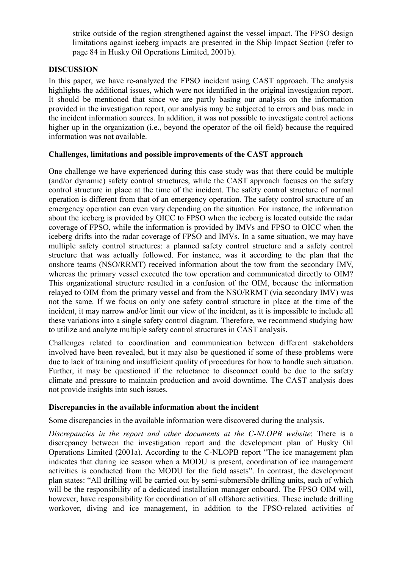strike outside of the region strengthened against the vessel impact. The FPSO design limitations against iceberg impacts are presented in the Ship Impact Section (refer to page 84 in Husky Oil Operations Limited, 2001b).

## **DISCUSSION**

In this paper, we have re-analyzed the FPSO incident using CAST approach. The analysis highlights the additional issues, which were not identified in the original investigation report. It should be mentioned that since we are partly basing our analysis on the information provided in the investigation report, our analysis may be subjected to errors and bias made in the incident information sources. In addition, it was not possible to investigate control actions higher up in the organization (i.e., beyond the operator of the oil field) because the required information was not available.

#### **Challenges, limitations and possible improvements of the CAST approach**

One challenge we have experienced during this case study was that there could be multiple (and/or dynamic) safety control structures, while the CAST approach focuses on the safety control structure in place at the time of the incident. The safety control structure of normal operation is different from that of an emergency operation. The safety control structure of an emergency operation can even vary depending on the situation. For instance, the information about the iceberg is provided by OICC to FPSO when the iceberg is located outside the radar coverage of FPSO, while the information is provided by IMVs and FPSO to OICC when the iceberg drifts into the radar coverage of FPSO and IMVs. In a same situation, we may have multiple safety control structures: a planned safety control structure and a safety control structure that was actually followed. For instance, was it according to the plan that the onshore teams (NSO/RRMT) received information about the tow from the secondary IMV, whereas the primary vessel executed the tow operation and communicated directly to OIM? This organizational structure resulted in a confusion of the OIM, because the information relayed to OIM from the primary vessel and from the NSO/RRMT (via secondary IMV) was not the same. If we focus on only one safety control structure in place at the time of the incident, it may narrow and/or limit our view of the incident, as it is impossible to include all these variations into a single safety control diagram. Therefore, we recommend studying how to utilize and analyze multiple safety control structures in CAST analysis.

Challenges related to coordination and communication between different stakeholders involved have been revealed, but it may also be questioned if some of these problems were due to lack of training and insufficient quality of procedures for how to handle such situation. Further, it may be questioned if the reluctance to disconnect could be due to the safety climate and pressure to maintain production and avoid downtime. The CAST analysis does not provide insights into such issues.

## **Discrepancies in the available information about the incident**

Some discrepancies in the available information were discovered during the analysis.

*Discrepancies in the report and other documents at the C-NLOPB website*: There is a discrepancy between the investigation report and the development plan of Husky Oil Operations Limited (2001a). According to the C-NLOPB report "The ice management plan indicates that during ice season when a MODU is present, coordination of ice management activities is conducted from the MODU for the field assets". In contrast, the development plan states: "All drilling will be carried out by semi-submersible drilling units, each of which will be the responsibility of a dedicated installation manager onboard. The FPSO OIM will, however, have responsibility for coordination of all offshore activities. These include drilling workover, diving and ice management, in addition to the FPSO-related activities of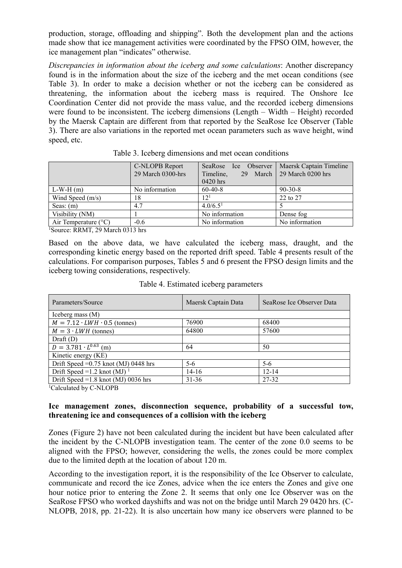production, storage, offloading and shipping". Both the development plan and the actions made show that ice management activities were coordinated by the FPSO OIM, however, the ice management plan "indicates" otherwise.

*Discrepancies in information about the iceberg and some calculations*: Another discrepancy found is in the information about the size of the iceberg and the met ocean conditions (see Table 3). In order to make a decision whether or not the iceberg can be considered as threatening, the information about the iceberg mass is required. The Onshore Ice Coordination Center did not provide the mass value, and the recorded iceberg dimensions were found to be inconsistent. The iceberg dimensions (Length – Width – Height) recorded by the Maersk Captain are different from that reported by the SeaRose Ice Observer (Table 3). There are also variations in the reported met ocean parameters such as wave height, wind speed, etc.

|                               | C-NLOPB Report<br>29 March 0300-hrs | SeaRose Ice Observer<br>Timeline,<br>March 1<br>29<br>0420 hrs | Maersk Captain Timeline<br>29 March 0200 hrs |
|-------------------------------|-------------------------------------|----------------------------------------------------------------|----------------------------------------------|
| $L-W-H(m)$                    | No information                      | $60-40-8$                                                      | $90 - 30 - 8$                                |
| Wind Speed $(m/s)$            | 18                                  | 12 <sup>1</sup>                                                | 22 to 27                                     |
| Seas: $(m)$                   | 4.7                                 | 4.0/6.5 <sup>1</sup>                                           |                                              |
| Visibility (NM)               |                                     | No information                                                 | Dense fog                                    |
| Air Temperature $(^{\circ}C)$ | $-0.6$                              | No information                                                 | No information                               |
|                               |                                     |                                                                |                                              |

Table 3. Iceberg dimensions and met ocean conditions

1 Source: RRMT, 29 March 0313 hrs

Based on the above data, we have calculated the iceberg mass, draught, and the corresponding kinetic energy based on the reported drift speed. Table 4 presents result of the calculations. For comparison purposes, Tables 5 and 6 present the FPSO design limits and the iceberg towing considerations, respectively.

| Maersk Captain Data | SeaRose Ice Observer Data |  |  |  |  |
|---------------------|---------------------------|--|--|--|--|
| Iceberg mass $(M)$  |                           |  |  |  |  |
| 76900               | 68400                     |  |  |  |  |
| 64800               | 57600                     |  |  |  |  |
|                     |                           |  |  |  |  |
| 64                  | 50                        |  |  |  |  |
|                     |                           |  |  |  |  |
| $5 - 6$             | $5 - 6$                   |  |  |  |  |
| $14-16$             | $12 - 14$                 |  |  |  |  |
| $31 - 36$           | 27-32                     |  |  |  |  |
|                     |                           |  |  |  |  |

Table 4. Estimated iceberg parameters

<sup>1</sup>Calculated by C-NLOPB

#### **Ice management zones, disconnection sequence, probability of a successful tow, threatening ice and consequences of a collision with the iceberg**

Zones (Figure 2) have not been calculated during the incident but have been calculated after the incident by the C-NLOPB investigation team. The center of the zone 0.0 seems to be aligned with the FPSO; however, considering the wells, the zones could be more complex due to the limited depth at the location of about 120 m.

According to the investigation report, it is the responsibility of the Ice Observer to calculate, communicate and record the ice Zones, advice when the ice enters the Zones and give one hour notice prior to entering the Zone 2. It seems that only one Ice Observer was on the SeaRose FPSO who worked dayshifts and was not on the bridge until March 29 0420 hrs. (C-NLOPB, 2018, pp. 21-22). It is also uncertain how many ice observers were planned to be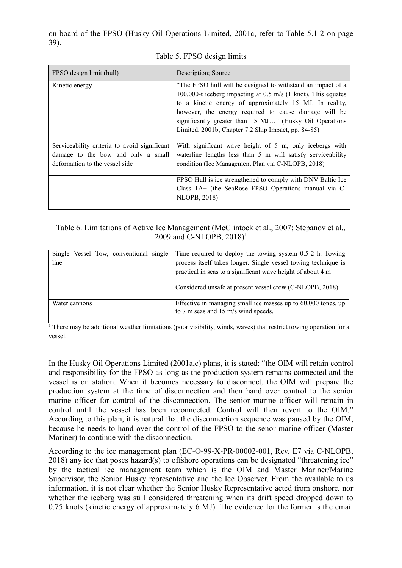on-board of the FPSO (Husky Oil Operations Limited, 2001c, refer to Table 5.1-2 on page 39).

| FPSO design limit (hull)                     | Description; Source                                                                                                          |
|----------------------------------------------|------------------------------------------------------------------------------------------------------------------------------|
| Kinetic energy                               | "The FPSO hull will be designed to withstand an impact of a<br>100,000-t iceberg impacting at 0.5 m/s (1 knot). This equates |
|                                              | to a kinetic energy of approximately 15 MJ. In reality,<br>however, the energy required to cause damage will be              |
|                                              | significantly greater than 15 MJ" (Husky Oil Operations                                                                      |
|                                              | Limited, 2001b, Chapter 7.2 Ship Impact, pp. 84-85)                                                                          |
| Serviceability criteria to avoid significant | With significant wave height of 5 m, only icebergs with                                                                      |
| damage to the bow and only a small           | waterline lengths less than 5 m will satisfy serviceability                                                                  |
| deformation to the vessel side               | condition (Ice Management Plan via C-NLOPB, 2018)                                                                            |
|                                              | FPSO Hull is ice strengthened to comply with DNV Baltic Ice                                                                  |
|                                              | Class 1A+ (the SeaRose FPSO Operations manual via C-                                                                         |
|                                              | <b>NLOPB, 2018)</b>                                                                                                          |
|                                              |                                                                                                                              |

#### Table 5. FPSO design limits

Table 6. Limitations of Active Ice Management (McClintock et al., 2007; Stepanov et al., 2009 and C-NLOPB,  $2018$ <sup>1</sup>

|               | Single Vessel Tow, conventional single Time required to deploy the towing system 0.5-2 h. Towing |
|---------------|--------------------------------------------------------------------------------------------------|
| line          | process itself takes longer. Single vessel towing technique is                                   |
|               | practical in seas to a significant wave height of about 4 m                                      |
|               | Considered unsafe at present vessel crew (C-NLOPB, 2018)                                         |
| Water cannons | Effective in managing small ice masses up to 60,000 tones, up                                    |
|               | to 7 m seas and 15 m/s wind speeds.                                                              |
|               |                                                                                                  |

 $\frac{1}{1}$  There may be additional weather limitations (poor visibility, winds, waves) that restrict towing operation for a vessel.

In the Husky Oil Operations Limited (2001a,c) plans, it is stated: "the OIM will retain control and responsibility for the FPSO as long as the production system remains connected and the vessel is on station. When it becomes necessary to disconnect, the OIM will prepare the production system at the time of disconnection and then hand over control to the senior marine officer for control of the disconnection. The senior marine officer will remain in control until the vessel has been reconnected. Control will then revert to the OIM." According to this plan, it is natural that the disconnection sequence was paused by the OIM, because he needs to hand over the control of the FPSO to the senor marine officer (Master Mariner) to continue with the disconnection.

According to the ice management plan (EC-O-99-X-PR-00002-001, Rev. E7 via C-NLOPB, 2018) any ice that poses hazard(s) to offshore operations can be designated "threatening ice" by the tactical ice management team which is the OIM and Master Mariner/Marine Supervisor, the Senior Husky representative and the Ice Observer. From the available to us information, it is not clear whether the Senior Husky Representative acted from onshore, nor whether the iceberg was still considered threatening when its drift speed dropped down to 0.75 knots (kinetic energy of approximately 6 MJ). The evidence for the former is the email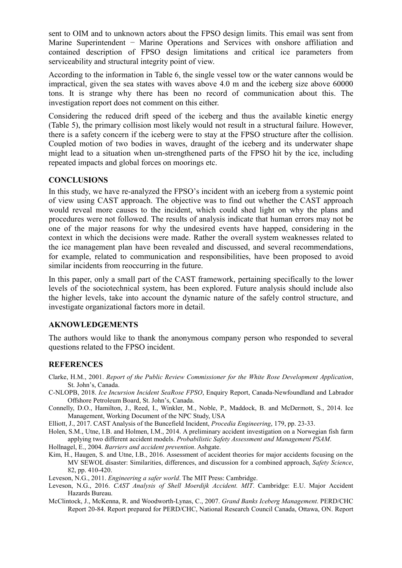sent to OIM and to unknown actors about the FPSO design limits. This email was sent from Marine Superintendent − Marine Operations and Services with onshore affiliation and contained description of FPSO design limitations and critical ice parameters from serviceability and structural integrity point of view.

According to the information in Table 6, the single vessel tow or the water cannons would be impractical, given the sea states with waves above 4.0 m and the iceberg size above 60000 tons. It is strange why there has been no record of communication about this. The investigation report does not comment on this either.

Considering the reduced drift speed of the iceberg and thus the available kinetic energy (Table 5), the primary collision most likely would not result in a structural failure. However, there is a safety concern if the iceberg were to stay at the FPSO structure after the collision. Coupled motion of two bodies in waves, draught of the iceberg and its underwater shape might lead to a situation when un-strengthened parts of the FPSO hit by the ice, including repeated impacts and global forces on moorings etc.

#### **CONCLUSIONS**

In this study, we have re-analyzed the FPSO's incident with an iceberg from a systemic point of view using CAST approach. The objective was to find out whether the CAST approach would reveal more causes to the incident, which could shed light on why the plans and procedures were not followed. The results of analysis indicate that human errors may not be one of the major reasons for why the undesired events have happed, considering in the context in which the decisions were made. Rather the overall system weaknesses related to the ice management plan have been revealed and discussed, and several recommendations, for example, related to communication and responsibilities, have been proposed to avoid similar incidents from reoccurring in the future.

In this paper, only a small part of the CAST framework, pertaining specifically to the lower levels of the sociotechnical system, has been explored. Future analysis should include also the higher levels, take into account the dynamic nature of the safely control structure, and investigate organizational factors more in detail.

#### **AKNOWLEDGEMENTS**

The authors would like to thank the anonymous company person who responded to several questions related to the FPSO incident.

#### **REFERENCES**

- Clarke, H.M., 2001. *Report of the Public Review Commissioner for the White Rose Development Application*, St. John's, Canada.
- C-NLOPB, 2018. *Ice Incursion Incident SeaRose FPSO*, Enquiry Report, Canada-Newfoundland and Labrador Offshore Petroleum Board, St. John's, Canada.
- Connelly, D.O., Hamilton, J., Reed, I., Winkler, M., Noble, P., Maddock, B. and McDermott, S., 2014. Ice Management, Working Document of the NPC Study, USA
- Elliott, J., 2017. CAST Analysis of the Buncefield Incident, *Procedia Engineering*, 179, pp. 23-33.
- Holen, S.M., Utne, I.B. and Holmen, I.M., 2014. A preliminary accident investigation on a Norwegian fish farm applying two different accident models. *Probabilistic Safety Assessment and Management PSAM*.

Hollnagel, E., 2004. *Barriers and accident prevention*. Ashgate.

Kim, H., Haugen, S. and Utne, I.B., 2016. Assessment of accident theories for major accidents focusing on the MV SEWOL disaster: Similarities, differences, and discussion for a combined approach, *Safety Science*, 82, pp. 410-420.

Leveson, N.G., 2011. *Engineering a safer world*. The MIT Press: Cambridge.

- Leveson, N.G., 2016. *CAST Analysis of Shell Moerdijk Accident. MIT*. Cambridge: E.U. Major Accident Hazards Bureau.
- McClintock, J., McKenna, R. and Woodworth-Lynas, C., 2007. *Grand Banks Iceberg Management*. PERD/CHC Report 20-84. Report prepared for PERD/CHC, National Research Council Canada, Ottawa, ON. Report